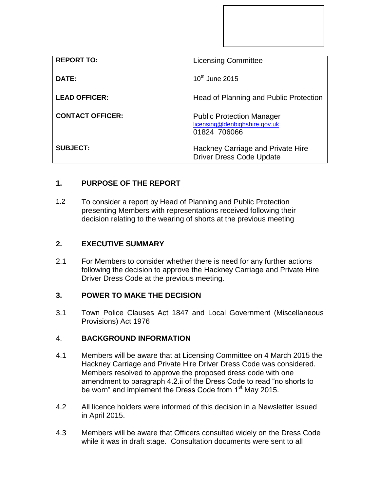| <b>REPORT TO:</b>       | <b>Licensing Committee</b>                                                        |
|-------------------------|-----------------------------------------------------------------------------------|
| DATE:                   | $10^{th}$ June 2015                                                               |
| <b>LEAD OFFICER:</b>    | Head of Planning and Public Protection                                            |
| <b>CONTACT OFFICER:</b> | <b>Public Protection Manager</b><br>licensing@denbighshire.gov.uk<br>01824 706066 |
| <b>SUBJECT:</b>         | Hackney Carriage and Private Hire<br><b>Driver Dress Code Update</b>              |

# **1. PURPOSE OF THE REPORT**

1.2 To consider a report by Head of Planning and Public Protection presenting Members with representations received following their decision relating to the wearing of shorts at the previous meeting

### **2. EXECUTIVE SUMMARY**

2.1 For Members to consider whether there is need for any further actions following the decision to approve the Hackney Carriage and Private Hire Driver Dress Code at the previous meeting.

## **3. POWER TO MAKE THE DECISION**

3.1 Town Police Clauses Act 1847 and Local Government (Miscellaneous Provisions) Act 1976

#### 4. **BACKGROUND INFORMATION**

- 4.1 Members will be aware that at Licensing Committee on 4 March 2015 the Hackney Carriage and Private Hire Driver Dress Code was considered. Members resolved to approve the proposed dress code with one amendment to paragraph 4.2.ii of the Dress Code to read "no shorts to be worn" and implement the Dress Code from 1<sup>st</sup> May 2015.
- 4.2 All licence holders were informed of this decision in a Newsletter issued in April 2015.
- 4.3 Members will be aware that Officers consulted widely on the Dress Code while it was in draft stage. Consultation documents were sent to all